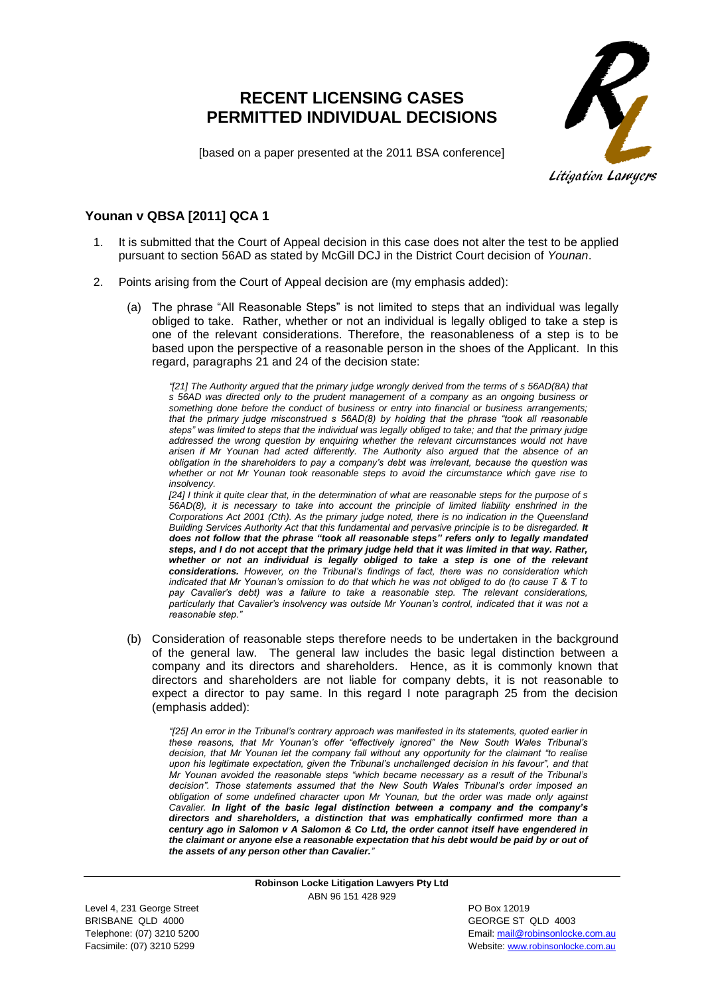## **RECENT LICENSING CASES PERMITTED INDIVIDUAL DECISIONS**



[based on a paper presented at the 2011 BSA conference]

## **Younan v QBSA [2011] QCA 1**

- 1. It is submitted that the Court of Appeal decision in this case does not alter the test to be applied pursuant to section 56AD as stated by McGill DCJ in the District Court decision of *Younan*.
- 2. Points arising from the Court of Appeal decision are (my emphasis added):
	- (a) The phrase "All Reasonable Steps" is not limited to steps that an individual was legally obliged to take. Rather, whether or not an individual is legally obliged to take a step is one of the relevant considerations. Therefore, the reasonableness of a step is to be based upon the perspective of a reasonable person in the shoes of the Applicant. In this regard, paragraphs 21 and 24 of the decision state:

*"[21] The Authority argued that the primary judge wrongly derived from the terms of s 56AD(8A) that s 56AD was directed only to the prudent management of a company as an ongoing business or something done before the conduct of business or entry into financial or business arrangements; that the primary judge misconstrued s 56AD(8) by holding that the phrase "took all reasonable steps" was limited to steps that the individual was legally obliged to take; and that the primary judge addressed the wrong question by enquiring whether the relevant circumstances would not have arisen if Mr Younan had acted differently. The Authority also argued that the absence of an obligation in the shareholders to pay a company's debt was irrelevant, because the question was whether or not Mr Younan took reasonable steps to avoid the circumstance which gave rise to insolvency.* 

*[24] I think it quite clear that, in the determination of what are reasonable steps for the purpose of s 56AD(8), it is necessary to take into account the principle of limited liability enshrined in the [Corporations Act](http://www.austlii.edu.au/au/legis/cth/consol_act/ca2001172/) [2001](http://www.austlii.edu.au/au/legis/cth/consol_act/ca2001172/) (Cth). As the primary judge noted, there is no indication in the [Queensland](http://www.austlii.edu.au/au/legis/qld/consol_act/qbsaa1991413/)  [Building Services Authority Act](http://www.austlii.edu.au/au/legis/qld/consol_act/qbsaa1991413/) that this fundamental and pervasive principle is to be disregarded. It does not follow that the phrase "took all reasonable steps" refers only to legally mandated steps, and I do not accept that the primary judge held that it was limited in that way. Rather, whether or not an individual is legally obliged to take a step is one of the relevant considerations. However, on the Tribunal's findings of fact, there was no consideration which indicated that Mr Younan's omission to do that which he was not obliged to do (to cause T & T to pay Cavalier's debt) was a failure to take a reasonable step. The relevant considerations, particularly that Cavalier's insolvency was outside Mr Younan's control, indicated that it was not a reasonable step."*

(b) Consideration of reasonable steps therefore needs to be undertaken in the background of the general law. The general law includes the basic legal distinction between a company and its directors and shareholders. Hence, as it is commonly known that directors and shareholders are not liable for company debts, it is not reasonable to expect a director to pay same. In this regard I note paragraph 25 from the decision (emphasis added):

*"[25] An error in the Tribunal's contrary approach was manifested in its statements, quoted earlier in these reasons, that Mr Younan's offer "effectively ignored" the New South Wales Tribunal's decision, that Mr Younan let the company fall without any opportunity for the claimant "to realise*  upon his legitimate expectation, given the Tribunal's unchallenged decision in his favour", and that *Mr Younan avoided the reasonable steps "which became necessary as a result of the Tribunal's decision". Those statements assumed that the New South Wales Tribunal's order imposed an obligation of some undefined character upon Mr Younan, but the order was made only against Cavalier. In light of the basic legal distinction between a company and the company's directors and shareholders, a distinction that was emphatically confirmed more than a century ago in Salomon v A Salomon & Co Ltd, the order cannot itself have engendered in the claimant or anyone else a reasonable expectation that his debt would be paid by or out of the assets of any person other than Cavalier."*

> **Robinson Locke Litigation Lawyers Pty Ltd** ABN 96 151 428 929

Level 4, 231 George Street **PO Box 12019** BRISBANE QLD 4000 GEORGE ST QLD 4003

Telephone: (07) 3210 5200 **Email:** mail@robinsonlocke.com.au **Email:** mail@robinsonlocke.com.au Facsimile: (07) 3210 5299 Website: [www.robinsonlocke.com.au](http://www.robinsonlocke.com.au/)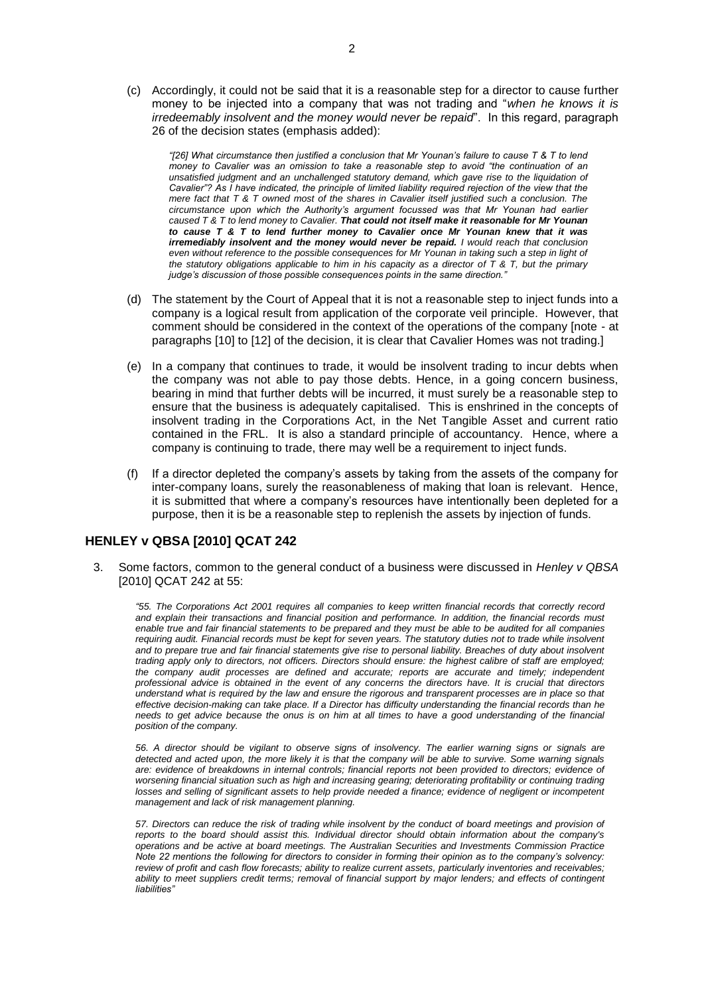(c) Accordingly, it could not be said that it is a reasonable step for a director to cause further money to be injected into a company that was not trading and "*when he knows it is irredeemably insolvent and the money would never be repaid*". In this regard, paragraph 26 of the decision states (emphasis added):

*"[26] What circumstance then justified a conclusion that Mr Younan's failure to cause T & T to lend money to Cavalier was an omission to take a reasonable step to avoid "the continuation of an unsatisfied judgment and an unchallenged statutory demand, which gave rise to the liquidation of Cavalier"? As I have indicated, the principle of limited liability required rejection of the view that the mere fact that T & T owned most of the shares in Cavalier itself justified such a conclusion. The circumstance upon which the Authority's argument focussed was that Mr Younan had earlier caused T & T to lend money to Cavalier. That could not itself make it reasonable for Mr Younan to cause T & T to lend further money to Cavalier once Mr Younan knew that it was irremediably insolvent and the money would never be repaid. I would reach that conclusion even without reference to the possible consequences for Mr Younan in taking such a step in light of the statutory obligations applicable to him in his capacity as a director of T & T, but the primary judge's discussion of those possible consequences points in the same direction."*

- (d) The statement by the Court of Appeal that it is not a reasonable step to inject funds into a company is a logical result from application of the corporate veil principle. However, that comment should be considered in the context of the operations of the company [note - at paragraphs [10] to [12] of the decision, it is clear that Cavalier Homes was not trading.]
- (e) In a company that continues to trade, it would be insolvent trading to incur debts when the company was not able to pay those debts. Hence, in a going concern business, bearing in mind that further debts will be incurred, it must surely be a reasonable step to ensure that the business is adequately capitalised. This is enshrined in the concepts of insolvent trading in the Corporations Act, in the Net Tangible Asset and current ratio contained in the FRL. It is also a standard principle of accountancy. Hence, where a company is continuing to trade, there may well be a requirement to inject funds.
- (f) If a director depleted the company's assets by taking from the assets of the company for inter-company loans, surely the reasonableness of making that loan is relevant. Hence, it is submitted that where a company's resources have intentionally been depleted for a purpose, then it is be a reasonable step to replenish the assets by injection of funds.

## **HENLEY v QBSA [2010] QCAT 242**

3. Some factors, common to the general conduct of a business were discussed in *Henley v QBSA* [2010] QCAT 242 at 55:

*"55. The [Corporations Act 2001](http://www.austlii.edu.au/au/legis/cth/consol_act/ca2001172/) requires all companies to keep written financial records that correctly record*  and explain their transactions and financial position and performance. In addition, the financial records must *enable true and fair financial statements to be prepared and they must be able to be audited for all companies*  requiring audit. Financial records must be kept for seven years. The statutory duties not to trade while insolvent and to prepare true and fair financial statements give rise to personal liability. Breaches of duty about insolvent *trading apply only to directors, not officers. Directors should ensure: the highest calibre of staff are employed; the company audit processes are defined and accurate; reports are accurate and timely; independent professional advice is obtained in the event of any concerns the directors have. It is crucial that directors understand what is required by the law and ensure the rigorous and transparent processes are in place so that effective decision-making can take place. If a Director has difficulty understanding the financial records than he needs to get advice because the onus is on him at all times to have a good understanding of the financial position of the company.*

*56. A director should be vigilant to observe signs of insolvency. The earlier warning signs or signals are detected and acted upon, the more likely it is that the company will be able to survive. Some warning signals*  are: evidence of breakdowns in internal controls; financial reports not been provided to directors; evidence of worsening financial situation such as high and increasing gearing; deteriorating profitability or continuing trading *losses and selling of significant assets to help provide needed a finance; evidence of negligent or incompetent management and lack of risk management planning.*

*57. Directors can reduce the risk of trading while insolvent by the conduct of board meetings and provision of*  reports to the board should assist this. Individual director should obtain information about the company's *operations and be active at board meetings. The Australian Securities and Investments Commission Practice Note 22 mentions the following for directors to consider in forming their opinion as to the company's solvency: review of profit and cash flow forecasts; ability to realize current assets, particularly inventories and receivables;*  ability to meet suppliers credit terms; removal of financial support by major lenders; and effects of contingent *liabilities"*